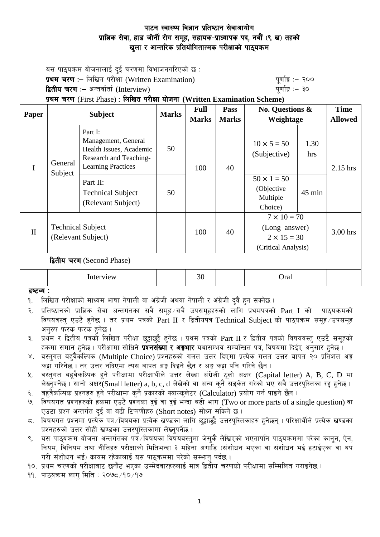# पाटन स्वास्थ्य विज्ञान प्रतिष्ठान सेवाआयोग प्राज्ञिक सेवा, हाड जोर्नी रोग समूह, सहायक-प्राध्यापक पद, नवौं (९ ख) तहको खुला र आन्तरिक प्रतियोगितात्मक परीक्षाको पाठ्यक्रम

यस पाठयक्रम योजनालाई दई चरणमा विभाजनगरिएको छ : **प्रथम चरण :–** लिखित परीक्षा (Written Examination) k" b" white" पूर्णाङ्क :– २०० द्वितीय चरण :– अन्तर्वार्ता (Interview) katalactic metal metal metal metal which we have the set of  $q$ णाङ्कि :– ३०

प्रथम चरण (First Phase) : लिखित परीक्षा योजना (Written Examination Scheme)

| Paper                      | <b>Subject</b>                                 |                                                                                                                        | <b>Marks</b> | <b>Full</b>  | <b>Pass</b>                        | <b>No. Questions &amp;</b><br>Weightage                                          |            | <b>Time</b>    |
|----------------------------|------------------------------------------------|------------------------------------------------------------------------------------------------------------------------|--------------|--------------|------------------------------------|----------------------------------------------------------------------------------|------------|----------------|
|                            |                                                |                                                                                                                        |              | <b>Marks</b> | <b>Marks</b>                       |                                                                                  |            | <b>Allowed</b> |
| I                          | General<br>Subject                             | Part I:<br>Management, General<br>50<br>Health Issues, Academic<br>Research and Teaching-<br><b>Learning Practices</b> | 100          | 40           | $10 \times 5 = 50$<br>(Subjective) | 1.30<br>hrs                                                                      | $2.15$ hrs |                |
|                            |                                                | Part II:<br><b>Technical Subject</b><br>(Relevant Subject)                                                             | 50           |              |                                    | $50 \times 1 = 50$<br>(Objective<br>Multiple<br>Choice)                          | $45$ min   |                |
| $\mathbf{I}$               | <b>Technical Subject</b><br>(Relevant Subject) |                                                                                                                        |              | 100          | 40                                 | $7 \times 10 = 70$<br>(Long answer)<br>$2 \times 15 = 30$<br>(Critical Analysis) |            | 3.00 hrs       |
| द्वितीय चरण (Second Phase) |                                                |                                                                                                                        |              |              |                                    |                                                                                  |            |                |
|                            | Interview                                      |                                                                                                                        |              | 30           |                                    | Oral                                                                             |            |                |

द्रष्टव्य $:$ 

१. लिखित परीक्षाको माध्यम भाषा नेपाली वा अंग्रेजी अथवा नेपाली र अंग्रेजी दुवै हुन सक्नेछ ।

२. प्रतिष्ठानको प्राज्ञिक सेवा अन्तर्गतका सवै समुह ∕सवै उपसमुहहरुको लागि प्रथमपत्रको Part I को पाठ्यक्रमको विषयवस्तु एउटै हुनेछ । तर प्रथम पत्रको Part II र द्वितीयपत्र Technical Subject को पाठयक्रम समह उपसमह अनुरुप फरक फरक हुनेछ ।

३. प्रथम र द्वितीय पत्रको लिखित परीक्षा छट्टाछट्टै हनेछ । प्रथम पत्रको Part II र द्वितीय पत्रको विषयवस्त् एउटै समूहको हकमा समान हुनेछ । परीक्षामा सोधिने **प्रश्नसंख्या र अङ्गभार** यथासम्भव सम्बन्धित पत्र, विषयमा दिईए अनुसार हुनेछ ।

४. वस्तुगत बहवैर्काल्पक (Multiple Choice) प्रश्नहरुको गलत उत्तर दिएमा प्रत्येक गलत उत्तर बापत २० प्रतिशत अङ्क कट्टा गरिनेछ । तर उत्तर नदिएमा त्यस बापत अङ्ग दिइने छैन र अङ्ग कट्टा पनि गरिने छैन ।

- $\,$ ४. वस्तगत बहवैकल्पिक हने परीक्षामा परीक्षार्थीले उत्तर लेख्दा अंग्रेजी ठलो अक्षर (Capital letter) A, B, C, D मा लेख्नुपर्नेछ । सानो अक्षर $\mathrm{\ddot{S}}$ mall letter) a, b, c, d लेखेको वा अन्य कुनै सङ्केत गरेको भए सबै उत्तरपुस्तिका रद्द हनेछ ।
- ६. वहवैकल्पिक प्रश्नहरु हुने परीक्षामा कुनै प्रकारको क्याल्कुलेटर (Calculator) प्रयोग गर्न पाइने छैन ।
- ७. विषयगत प्रश्नहरुको हकमा एउटै प्रश्नका दई वा दई भन्दा बढी भाग (Two or more parts of a single question) वा एउटा प्रश्न अन्तर्गत दई वा बढी टिप्पणीहरु (Short notes) सोध्न सकिने छ।

 $\,$ द. विषयगत प्रश्नमा प्रत्येक पत्र विषयका प्रत्येक खण्डका लागि छुट्टाछुट्टै उत्तरपुस्तिकाहरु हुनेछन् । परिक्षार्थीले प्रत्येक खण्डका प्रश्नहरुको उत्तर सोही खण्डका उत्तरपुस्तिकामा लेख्नुपर्नेछ ।

९. यस पाठ्यक्रम योजना अन्तर्गतका पत्रँ ∕विषयका विषयवस्त्**मा जेस्**कै लेखिएको भएतापनि पाठ्यक्रममा परेका कानून, ऐन, ्तियम, विनियम तथा नीतिहरु परीक्षाको मितिभन्दा ३ महिना अगाडि (संशोधन भएका वा संशोधन भई हटाईएका वा थप गरी संशोधन भई) कायम रहेकालाई यस पाठकममा परेको सम्भन पर्दछ ।

10. प्रथम चरणको परीक्षाबाट छनौट भएका उम्मेदवारहरुलाई मात्र द्वितीय चरणको परीक्षामा सम्मिलित गराइनेछ ।

११. पाठयक्रम लाग मिति : २०७८ ⁄१० ⁄१७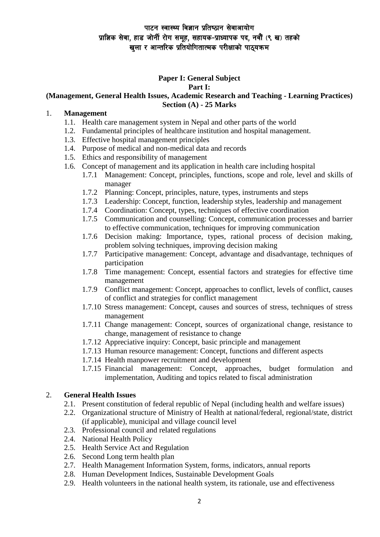# पाटन स्वास्थ्य विज्ञान प्रतिष्ठान सेवाआयोग प्राज्ञिक सेवा, हाड जोर्नी रोग समूह, सहायक-प्राध्यापक पद, नवौं (९ ख) तहको खला र आन्तरिक प्रतियोगितात्मक परीक्षाको पाठ्यक्रम

#### **Paper I: General Subject Part I:**

## **(Management, General Health Issues, Academic Research and Teaching - Learning Practices) Section (A) - 25 Marks**

#### 1. **Management**

- 1.1. Health care management system in Nepal and other parts of the world
- 1.2. Fundamental principles of healthcare institution and hospital management.
- 1.3. Effective hospital management principles
- 1.4. Purpose of medical and non-medical data and records
- 1.5. Ethics and responsibility of management
- 1.6. Concept of management and its application in health care including hospital
	- 1.7.1 Management: Concept, principles, functions, scope and role, level and skills of manager
	- 1.7.2 Planning: Concept, principles, nature, types, instruments and steps
	- 1.7.3 Leadership: Concept, function, leadership styles, leadership and management
	- 1.7.4 Coordination: Concept, types, techniques of effective coordination
	- 1.7.5 Communication and counselling: Concept, communication processes and barrier to effective communication, techniques for improving communication
	- 1.7.6 Decision making: Importance, types, rational process of decision making, problem solving techniques, improving decision making
	- 1.7.7 Participative management: Concept, advantage and disadvantage, techniques of participation
	- 1.7.8 Time management: Concept, essential factors and strategies for effective time management
	- 1.7.9 Conflict management: Concept, approaches to conflict, levels of conflict, causes of conflict and strategies for conflict management
	- 1.7.10 Stress management: Concept, causes and sources of stress, techniques of stress management
	- 1.7.11 Change management: Concept, sources of organizational change, resistance to change, management of resistance to change
	- 1.7.12 Appreciative inquiry: Concept, basic principle and management
	- 1.7.13 Human resource management: Concept, functions and different aspects
	- 1.7.14 Health manpower recruitment and development
	- 1.7.15 Financial management: Concept, approaches, budget formulation and implementation, Auditing and topics related to fiscal administration

## 2. **General Health Issues**

- 2.1. Present constitution of federal republic of Nepal (including health and welfare issues)
- 2.2. Organizational structure of Ministry of Health at national/federal, regional/state, district (if applicable), municipal and village council level
- 2.3. Professional council and related regulations
- 2.4. National Health Policy
- 2.5. Health Service Act and Regulation
- 2.6. Second Long term health plan
- 2.7. Health Management Information System, forms, indicators, annual reports
- 2.8. Human Development Indices, Sustainable Development Goals
- 2.9. Health volunteers in the national health system, its rationale, use and effectiveness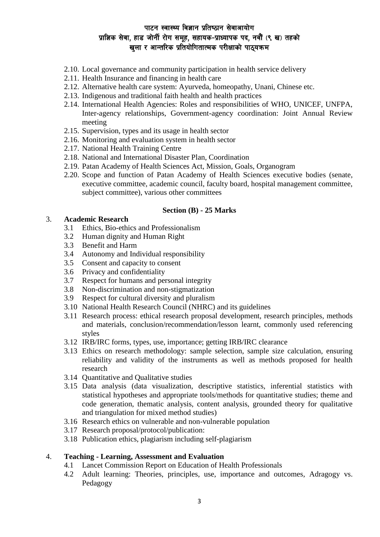# पाटन स्वास्थ्य विज्ञान प्रतिष्ठान सेवाआयोग प्राज्ञिक सेवा, हाड जोर्नी रोग समूह, सहायक-प्राध्यापक पद, नवौं (९ ख) तहको 'खला र आन्तरिक प्रतियोगितात्मक परीक्षाको पाठयक्रम

- 2.10. Local governance and community participation in health service delivery
- 2.11. Health Insurance and financing in health care
- 2.12. Alternative health care system: Ayurveda, homeopathy, Unani, Chinese etc.
- 2.13. Indigenous and traditional faith health and health practices
- 2.14. International Health Agencies: Roles and responsibilities of WHO, UNICEF, UNFPA, Inter-agency relationships, Government-agency coordination: Joint Annual Review meeting
- 2.15. Supervision, types and its usage in health sector
- 2.16. Monitoring and evaluation system in health sector
- 2.17. National Health Training Centre
- 2.18. National and International Disaster Plan, Coordination
- 2.19. Patan Academy of Health Sciences Act, Mission, Goals, Organogram
- 2.20. Scope and function of Patan Academy of Health Sciences executive bodies (senate, executive committee, academic council, faculty board, hospital management committee, subject committee), various other committees

#### **Section (B) - 25 Marks**

#### 3. **Academic Research**

- 3.1 Ethics, Bio-ethics and Professionalism
- 3.2 Human dignity and Human Right
- 3.3 Benefit and Harm
- 3.4 Autonomy and Individual responsibility
- 3.5 Consent and capacity to consent
- 3.6 Privacy and confidentiality
- 3.7 Respect for humans and personal integrity
- 3.8 Non-discrimination and non-stigmatization
- 3.9 Respect for cultural diversity and pluralism
- 3.10 National Health Research Council (NHRC) and its guidelines
- 3.11 Research process: ethical research proposal development, research principles, methods and materials, conclusion/recommendation/lesson learnt, commonly used referencing styles
- 3.12 IRB/IRC forms, types, use, importance; getting IRB/IRC clearance
- 3.13 Ethics on research methodology: sample selection, sample size calculation, ensuring reliability and validity of the instruments as well as methods proposed for health research
- 3.14 Quantitative and Qualitative studies
- 3.15 Data analysis (data visualization, descriptive statistics, inferential statistics with statistical hypotheses and appropriate tools/methods for quantitative studies; theme and code generation, thematic analysis, content analysis, grounded theory for qualitative and triangulation for mixed method studies)
- 3.16 Research ethics on vulnerable and non-vulnerable population
- 3.17 Research proposal/protocol/publication:
- 3.18 Publication ethics, plagiarism including self-plagiarism

## 4. **Teaching - Learning, Assessment and Evaluation**

- 4.1 Lancet Commission Report on Education of Health Professionals
- 4.2 Adult learning: Theories, principles, use, importance and outcomes, Adragogy vs. Pedagogy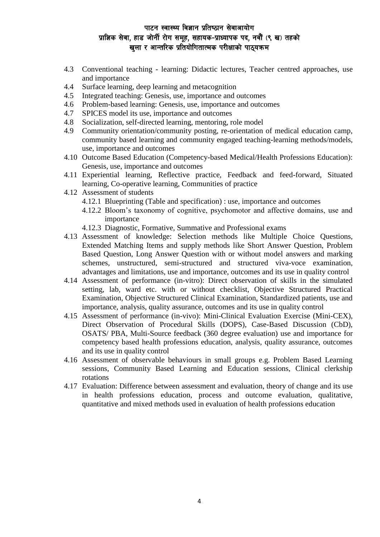# पाटन स्वास्थ्य विज्ञान प्रतिष्ठान सेवाआयोग प्राज्ञिक सेवा, हाड जोर्नी रोग समूह, सहायक-प्राध्यापक पद, नवौं (९ ख) तहको 'खला र आन्तरिक प्रतियोगितात्मक परीक्षाको पाठयक्रम

- 4.3 Conventional teaching learning: Didactic lectures, Teacher centred approaches, use and importance
- 4.4 Surface learning, deep learning and metacognition
- 4.5 Integrated teaching: Genesis, use, importance and outcomes
- 4.6 Problem-based learning: Genesis, use, importance and outcomes
- 4.7 SPICES model its use, importance and outcomes
- 4.8 Socialization, self-directed learning, mentoring, role model
- 4.9 Community orientation/community posting, re-orientation of medical education camp, community based learning and community engaged teaching-learning methods/models, use, importance and outcomes
- 4.10 Outcome Based Education (Competency-based Medical/Health Professions Education): Genesis, use, importance and outcomes
- 4.11 Experiential learning, Reflective practice, Feedback and feed-forward, Situated learning, Co-operative learning, Communities of practice
- 4.12 Assessment of students
	- 4.12.1 Blueprinting (Table and specification) : use, importance and outcomes
	- 4.12.2 Bloom's taxonomy of cognitive, psychomotor and affective domains, use and importance
	- 4.12.3 Diagnostic, Formative, Summative and Professional exams
- 4.13 Assessment of knowledge: Selection methods like Multiple Choice Questions, Extended Matching Items and supply methods like Short Answer Question, Problem Based Question, Long Answer Question with or without model answers and marking schemes, unstructured, semi-structured and structured viva-voce examination, advantages and limitations, use and importance, outcomes and its use in quality control
- 4.14 Assessment of performance (in-vitro): Direct observation of skills in the simulated setting, lab, ward etc. with or without checklist, Objective Structured Practical Examination, Objective Structured Clinical Examination, Standardized patients, use and importance, analysis, quality assurance, outcomes and its use in quality control
- 4.15 Assessment of performance (in-vivo): Mini-Clinical Evaluation Exercise (Mini-CEX), Direct Observation of Procedural Skills (DOPS), Case-Based Discussion (CbD), OSATS/ PBA, Multi-Source feedback (360 degree evaluation) use and importance for competency based health professions education, analysis, quality assurance, outcomes and its use in quality control
- 4.16 Assessment of observable behaviours in small groups e.g. Problem Based Learning sessions, Community Based Learning and Education sessions, Clinical clerkship rotations
- 4.17 Evaluation: Difference between assessment and evaluation, theory of change and its use in health professions education, process and outcome evaluation, qualitative, quantitative and mixed methods used in evaluation of health professions education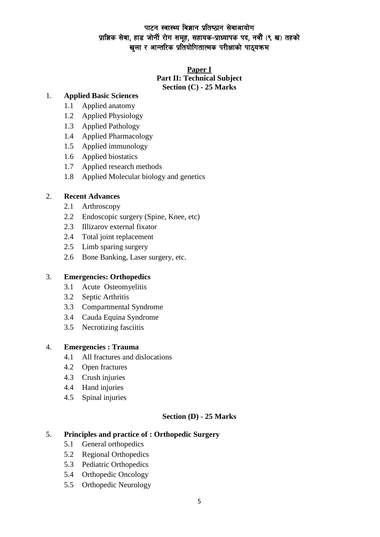# पाटन स्वास्थ्य विज्ञान प्रतिष्ठान सेवाआयोग प्राज्ञिक सेवा, हाड जोर्नी रोग समूह, सहायक-प्राध्यापक पद, नवौं (९ ख) तहको खुला र आन्तरिक प्रतियोगितात्मक परीक्षाको पाठ्यक्रम

## **Paper I Part II: Technical Subject Section (C) - 25 Marks**

## 1. **Applied Basic Sciences**

- 1.1 Applied anatomy
- 1.2 Applied Physiology
- 1.3 Applied Pathology
- 1.4 Applied Pharmacology
- 1.5 Applied immunology
- 1.6 Applied biostatics
- 1.7 Applied research methods
- 1.8 Applied Molecular biology and genetics

## 2. **Recent Advances**

- 2.1 Arthroscopy
- 2.2 Endoscopic surgery (Spine, Knee, etc)
- 2.3 Illizarov external fixator
- 2.4 Total joint replacement
- 2.5 Limb sparing surgery
- 2.6 Bone Banking, Laser surgery, etc.

#### 3. **Emergencies: Orthopedics**

- 3.1 Acute Osteomyelitis
- 3.2 Septic Arthritis
- 3.3 Compartmental Syndrome
- 3.4 Cauda Equina Syndrome
- 3.5 Necrotizing fasciitis

#### 4. **Emergencies : Trauma**

- 4.1 All fractures and dislocations
- 4.2 Open fractures
- 4.3 Crush injuries
- 4.4 Hand injuries
- 4.5 Spinal injuries

## **Section (D) - 25 Marks**

## 5. **Principles and practice of : Orthopedic Surgery**

- 5.1 General orthopedics
- 5.2 Regional Orthopedics
- 5.3 Pediatric Orthopedics
- 5.4 Orthopedic Oncology
- 5.5 Orthopedic Neurology